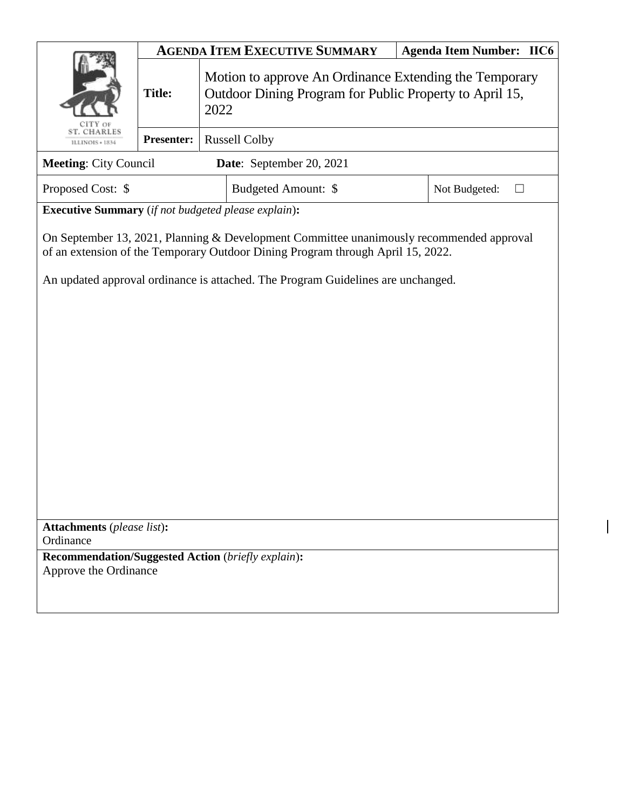|                                                                                                                                                                             | <b>AGENDA ITEM EXECUTIVE SUMMARY</b> |                                                                                                                           |                     |  | <b>Agenda Item Number: IIC6</b> |  |
|-----------------------------------------------------------------------------------------------------------------------------------------------------------------------------|--------------------------------------|---------------------------------------------------------------------------------------------------------------------------|---------------------|--|---------------------------------|--|
|                                                                                                                                                                             | <b>Title:</b>                        | Motion to approve An Ordinance Extending the Temporary<br>Outdoor Dining Program for Public Property to April 15,<br>2022 |                     |  |                                 |  |
| <b>T. CHARLES</b><br>ILLINOIS + 1834                                                                                                                                        | <b>Presenter:</b>                    | <b>Russell Colby</b>                                                                                                      |                     |  |                                 |  |
| <b>Meeting: City Council</b><br>Date: September 20, 2021                                                                                                                    |                                      |                                                                                                                           |                     |  |                                 |  |
| Proposed Cost: \$                                                                                                                                                           |                                      |                                                                                                                           | Budgeted Amount: \$ |  | Not Budgeted:                   |  |
| <b>Executive Summary</b> (if not budgeted please explain):                                                                                                                  |                                      |                                                                                                                           |                     |  |                                 |  |
| On September 13, 2021, Planning & Development Committee unanimously recommended approval<br>of an extension of the Temporary Outdoor Dining Program through April 15, 2022. |                                      |                                                                                                                           |                     |  |                                 |  |
| An updated approval ordinance is attached. The Program Guidelines are unchanged.                                                                                            |                                      |                                                                                                                           |                     |  |                                 |  |
|                                                                                                                                                                             |                                      |                                                                                                                           |                     |  |                                 |  |
|                                                                                                                                                                             |                                      |                                                                                                                           |                     |  |                                 |  |
|                                                                                                                                                                             |                                      |                                                                                                                           |                     |  |                                 |  |
|                                                                                                                                                                             |                                      |                                                                                                                           |                     |  |                                 |  |
|                                                                                                                                                                             |                                      |                                                                                                                           |                     |  |                                 |  |
|                                                                                                                                                                             |                                      |                                                                                                                           |                     |  |                                 |  |
|                                                                                                                                                                             |                                      |                                                                                                                           |                     |  |                                 |  |
|                                                                                                                                                                             |                                      |                                                                                                                           |                     |  |                                 |  |
|                                                                                                                                                                             |                                      |                                                                                                                           |                     |  |                                 |  |
| <b>Attachments</b> (please list):<br>Ordinance                                                                                                                              |                                      |                                                                                                                           |                     |  |                                 |  |
| <b>Recommendation/Suggested Action</b> (briefly explain):                                                                                                                   |                                      |                                                                                                                           |                     |  |                                 |  |
| Approve the Ordinance                                                                                                                                                       |                                      |                                                                                                                           |                     |  |                                 |  |
|                                                                                                                                                                             |                                      |                                                                                                                           |                     |  |                                 |  |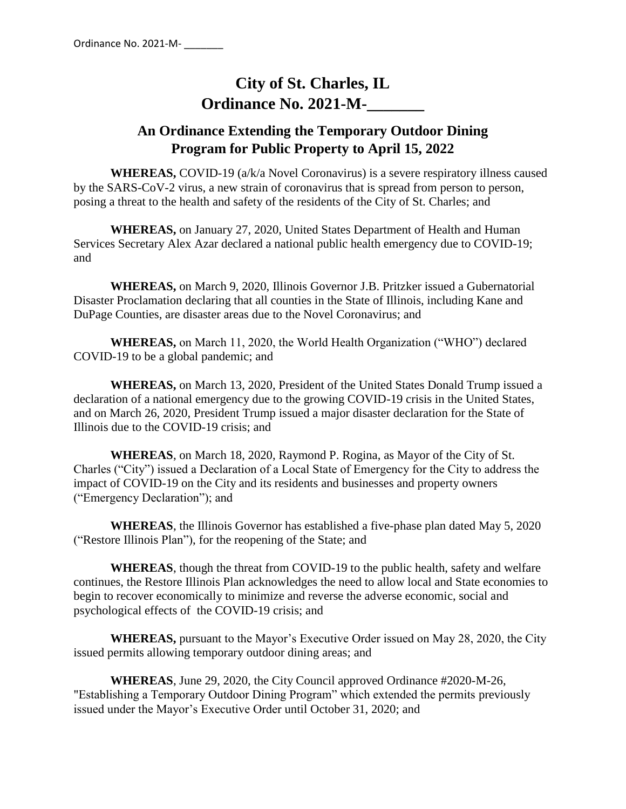# **City of St. Charles, IL Ordinance No. 2021-M-**

# **An Ordinance Extending the Temporary Outdoor Dining Program for Public Property to April 15, 2022**

**WHEREAS,** COVID-19 (a/k/a Novel Coronavirus) is a severe respiratory illness caused by the SARS-CoV-2 virus, a new strain of coronavirus that is spread from person to person, posing a threat to the health and safety of the residents of the City of St. Charles; and

**WHEREAS,** on January 27, 2020, United States Department of Health and Human Services Secretary Alex Azar declared a national public health emergency due to COVID-19; and

**WHEREAS,** on March 9, 2020, Illinois Governor J.B. Pritzker issued a Gubernatorial Disaster Proclamation declaring that all counties in the State of Illinois, including Kane and DuPage Counties, are disaster areas due to the Novel Coronavirus; and

**WHEREAS,** on March 11, 2020, the World Health Organization ("WHO") declared COVID-19 to be a global pandemic; and

**WHEREAS,** on March 13, 2020, President of the United States Donald Trump issued a declaration of a national emergency due to the growing COVID-19 crisis in the United States, and on March 26, 2020, President Trump issued a major disaster declaration for the State of Illinois due to the COVID-19 crisis; and

**WHEREAS**, on March 18, 2020, Raymond P. Rogina, as Mayor of the City of St. Charles ("City") issued a Declaration of a Local State of Emergency for the City to address the impact of COVID-19 on the City and its residents and businesses and property owners ("Emergency Declaration"); and

**WHEREAS**, the Illinois Governor has established a five-phase plan dated May 5, 2020 ("Restore Illinois Plan"), for the reopening of the State; and

**WHEREAS**, though the threat from COVID-19 to the public health, safety and welfare continues, the Restore Illinois Plan acknowledges the need to allow local and State economies to begin to recover economically to minimize and reverse the adverse economic, social and psychological effects of the COVID-19 crisis; and

**WHEREAS,** pursuant to the Mayor's Executive Order issued on May 28, 2020, the City issued permits allowing temporary outdoor dining areas; and

**WHEREAS**, June 29, 2020, the City Council approved Ordinance #2020-M-26, "Establishing a Temporary Outdoor Dining Program" which extended the permits previously issued under the Mayor's Executive Order until October 31, 2020; and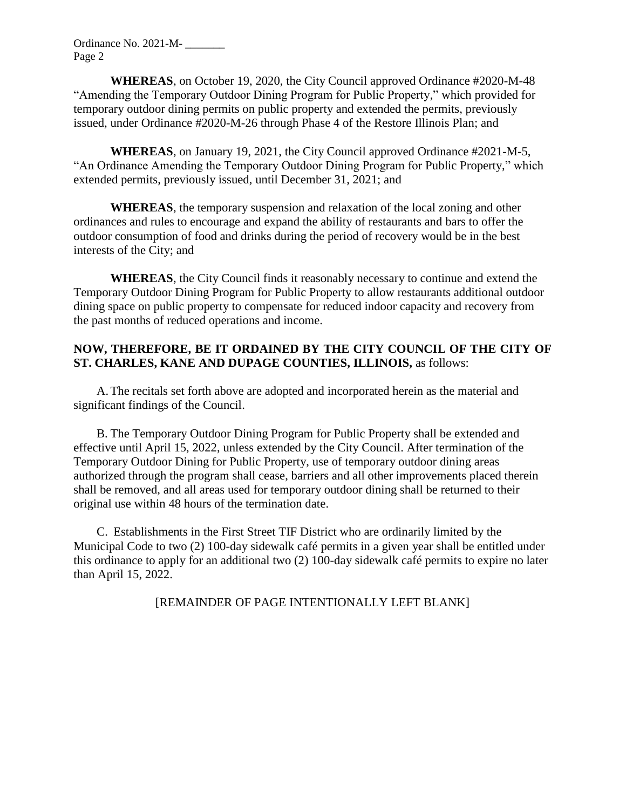Ordinance No. 2021-M- \_\_\_\_\_\_\_ Page 2

**WHEREAS**, on October 19, 2020, the City Council approved Ordinance #2020-M-48 "Amending the Temporary Outdoor Dining Program for Public Property," which provided for temporary outdoor dining permits on public property and extended the permits, previously issued, under Ordinance #2020-M-26 through Phase 4 of the Restore Illinois Plan; and

**WHEREAS**, on January 19, 2021, the City Council approved Ordinance #2021-M-5, "An Ordinance Amending the Temporary Outdoor Dining Program for Public Property," which extended permits, previously issued, until December 31, 2021; and

**WHEREAS**, the temporary suspension and relaxation of the local zoning and other ordinances and rules to encourage and expand the ability of restaurants and bars to offer the outdoor consumption of food and drinks during the period of recovery would be in the best interests of the City; and

**WHEREAS**, the City Council finds it reasonably necessary to continue and extend the Temporary Outdoor Dining Program for Public Property to allow restaurants additional outdoor dining space on public property to compensate for reduced indoor capacity and recovery from the past months of reduced operations and income.

#### **NOW, THEREFORE, BE IT ORDAINED BY THE CITY COUNCIL OF THE CITY OF ST. CHARLES, KANE AND DUPAGE COUNTIES, ILLINOIS,** as follows:

A.The recitals set forth above are adopted and incorporated herein as the material and significant findings of the Council.

B. The Temporary Outdoor Dining Program for Public Property shall be extended and effective until April 15, 2022, unless extended by the City Council. After termination of the Temporary Outdoor Dining for Public Property, use of temporary outdoor dining areas authorized through the program shall cease, barriers and all other improvements placed therein shall be removed, and all areas used for temporary outdoor dining shall be returned to their original use within 48 hours of the termination date.

C. Establishments in the First Street TIF District who are ordinarily limited by the Municipal Code to two (2) 100-day sidewalk café permits in a given year shall be entitled under this ordinance to apply for an additional two (2) 100-day sidewalk café permits to expire no later than April 15, 2022.

[REMAINDER OF PAGE INTENTIONALLY LEFT BLANK]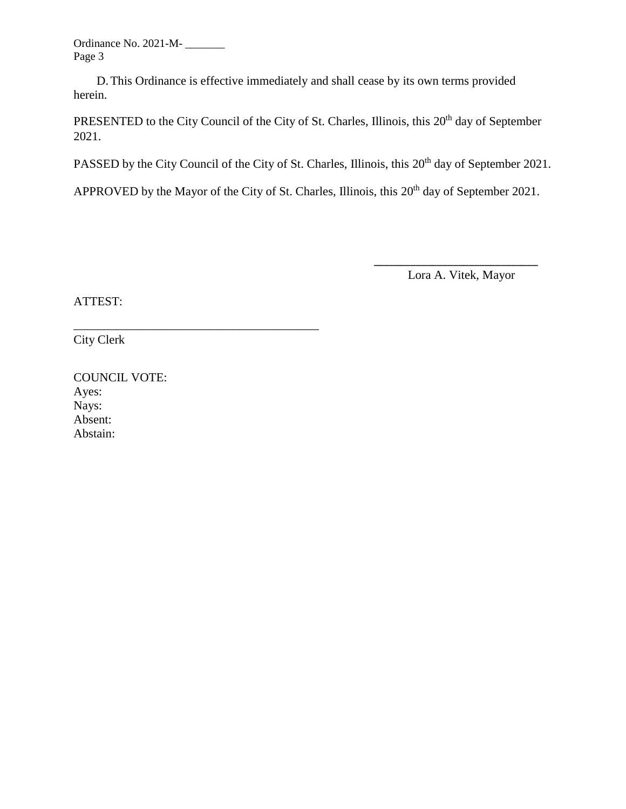Ordinance No. 2021-M- \_\_\_\_\_\_\_ Page 3

D.This Ordinance is effective immediately and shall cease by its own terms provided herein.

PRESENTED to the City Council of the City of St. Charles, Illinois, this 20<sup>th</sup> day of September 2021.

PASSED by the City Council of the City of St. Charles, Illinois, this 20<sup>th</sup> day of September 2021.

APPROVED by the Mayor of the City of St. Charles, Illinois, this  $20<sup>th</sup>$  day of September 2021.

Lora A. Vitek, Mayor

\_\_\_\_\_\_\_\_\_\_\_\_\_\_\_\_\_\_\_\_\_\_\_\_\_\_\_\_\_\_\_

ATTEST:

City Clerk

| <b>COUNCIL VOTE:</b> |
|----------------------|
| Ayes:                |
| Nays:                |
| Absent:              |
| Abstain:             |

\_\_\_\_\_\_\_\_\_\_\_\_\_\_\_\_\_\_\_\_\_\_\_\_\_\_\_\_\_\_\_\_\_\_\_\_\_\_\_\_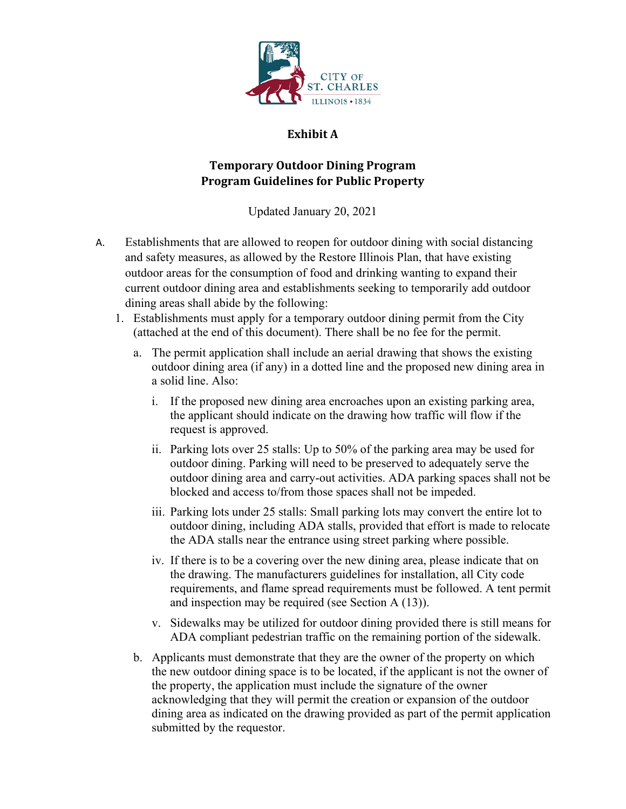

### **Exhibit A**

## **Temporary Outdoor Dining Program Program Guidelines for Public Property**

Updated January 20, 2021

- A. Establishments that are allowed to reopen for outdoor dining with social distancing and safety measures, as allowed by the Restore Illinois Plan, that have existing outdoor areas for the consumption of food and drinking wanting to expand their current outdoor dining area and establishments seeking to temporarily add outdoor dining areas shall abide by the following:
	- 1. Establishments must apply for a temporary outdoor dining permit from the City (attached at the end of this document). There shall be no fee for the permit.
		- a. The permit application shall include an aerial drawing that shows the existing outdoor dining area (if any) in a dotted line and the proposed new dining area in a solid line. Also:
			- i. If the proposed new dining area encroaches upon an existing parking area, the applicant should indicate on the drawing how traffic will flow if the request is approved.
			- ii. Parking lots over 25 stalls: Up to 50% of the parking area may be used for outdoor dining. Parking will need to be preserved to adequately serve the outdoor dining area and carry-out activities. ADA parking spaces shall not be blocked and access to/from those spaces shall not be impeded.
			- iii. Parking lots under 25 stalls: Small parking lots may convert the entire lot to outdoor dining, including ADA stalls, provided that effort is made to relocate the ADA stalls near the entrance using street parking where possible.
			- iv. If there is to be a covering over the new dining area, please indicate that on the drawing. The manufacturers guidelines for installation, all City code requirements, and flame spread requirements must be followed. A tent permit and inspection may be required (see Section A (13)).
			- v. Sidewalks may be utilized for outdoor dining provided there is still means for ADA compliant pedestrian traffic on the remaining portion of the sidewalk.
		- b. Applicants must demonstrate that they are the owner of the property on which the new outdoor dining space is to be located, if the applicant is not the owner of the property, the application must include the signature of the owner acknowledging that they will permit the creation or expansion of the outdoor dining area as indicated on the drawing provided as part of the permit application submitted by the requestor.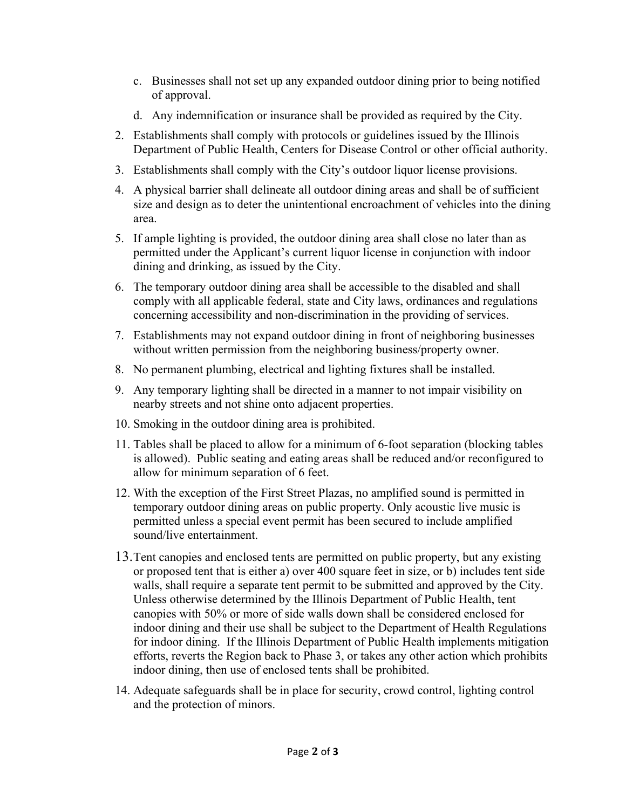- c. Businesses shall not set up any expanded outdoor dining prior to being notified of approval.
- d. Any indemnification or insurance shall be provided as required by the City.
- 2. Establishments shall comply with protocols or guidelines issued by the Illinois Department of Public Health, Centers for Disease Control or other official authority.
- 3. Establishments shall comply with the City's outdoor liquor license provisions.
- 4. A physical barrier shall delineate all outdoor dining areas and shall be of sufficient size and design as to deter the unintentional encroachment of vehicles into the dining area.
- 5. If ample lighting is provided, the outdoor dining area shall close no later than as permitted under the Applicant's current liquor license in conjunction with indoor dining and drinking, as issued by the City.
- 6. The temporary outdoor dining area shall be accessible to the disabled and shall comply with all applicable federal, state and City laws, ordinances and regulations concerning accessibility and non-discrimination in the providing of services.
- 7. Establishments may not expand outdoor dining in front of neighboring businesses without written permission from the neighboring business/property owner.
- 8. No permanent plumbing, electrical and lighting fixtures shall be installed.
- 9. Any temporary lighting shall be directed in a manner to not impair visibility on nearby streets and not shine onto adjacent properties.
- 10. Smoking in the outdoor dining area is prohibited.
- 11. Tables shall be placed to allow for a minimum of 6-foot separation (blocking tables is allowed). Public seating and eating areas shall be reduced and/or reconfigured to allow for minimum separation of 6 feet.
- 12. With the exception of the First Street Plazas, no amplified sound is permitted in temporary outdoor dining areas on public property. Only acoustic live music is permitted unless a special event permit has been secured to include amplified sound/live entertainment.
- 13.Tent canopies and enclosed tents are permitted on public property, but any existing or proposed tent that is either a) over 400 square feet in size, or b) includes tent side walls, shall require a separate tent permit to be submitted and approved by the City. Unless otherwise determined by the Illinois Department of Public Health, tent canopies with 50% or more of side walls down shall be considered enclosed for indoor dining and their use shall be subject to the Department of Health Regulations for indoor dining. If the Illinois Department of Public Health implements mitigation efforts, reverts the Region back to Phase 3, or takes any other action which prohibits indoor dining, then use of enclosed tents shall be prohibited.
- 14. Adequate safeguards shall be in place for security, crowd control, lighting control and the protection of minors.